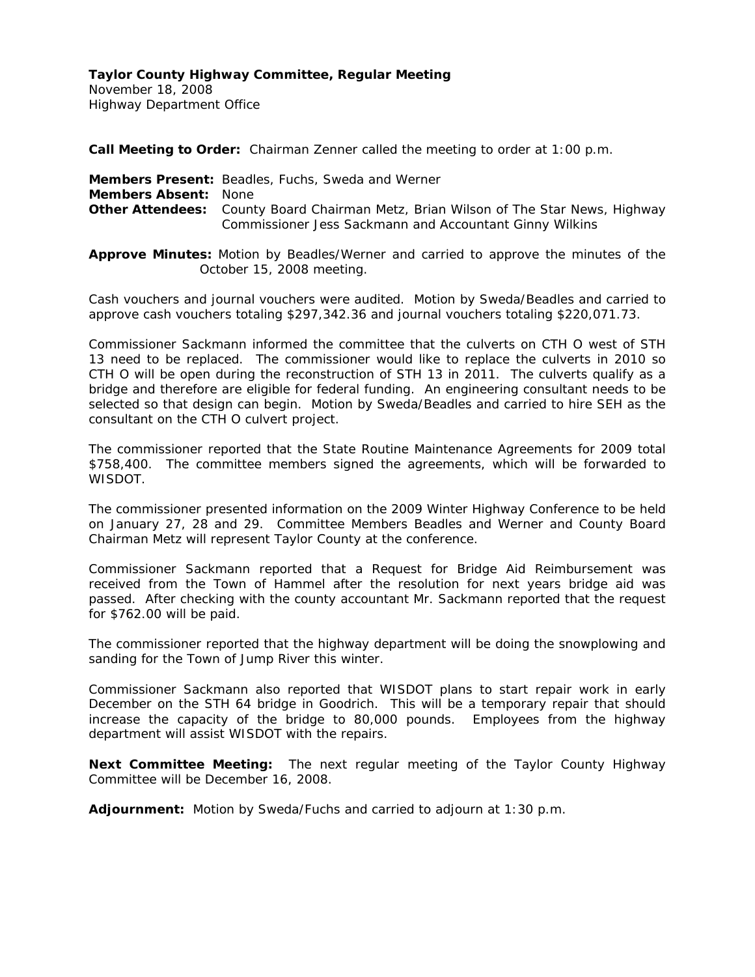November 18, 2008 Highway Department Office

**Call Meeting to Order:** Chairman Zenner called the meeting to order at 1:00 p.m.

**Members Present:** Beadles, Fuchs, Sweda and Werner **Members Absent:** None **Other Attendees:** County Board Chairman Metz, Brian Wilson of The Star News, Highway Commissioner Jess Sackmann and Accountant Ginny Wilkins

**Approve Minutes:** Motion by Beadles/Werner and carried to approve the minutes of the October 15, 2008 meeting.

Cash vouchers and journal vouchers were audited. Motion by Sweda/Beadles and carried to approve cash vouchers totaling \$297,342.36 and journal vouchers totaling \$220,071.73.

Commissioner Sackmann informed the committee that the culverts on CTH O west of STH 13 need to be replaced. The commissioner would like to replace the culverts in 2010 so CTH O will be open during the reconstruction of STH 13 in 2011. The culverts qualify as a bridge and therefore are eligible for federal funding. An engineering consultant needs to be selected so that design can begin. Motion by Sweda/Beadles and carried to hire SEH as the consultant on the CTH O culvert project.

The commissioner reported that the State Routine Maintenance Agreements for 2009 total \$758,400. The committee members signed the agreements, which will be forwarded to WISDOT.

The commissioner presented information on the 2009 Winter Highway Conference to be held on January 27, 28 and 29. Committee Members Beadles and Werner and County Board Chairman Metz will represent Taylor County at the conference.

Commissioner Sackmann reported that a Request for Bridge Aid Reimbursement was received from the Town of Hammel after the resolution for next years bridge aid was passed. After checking with the county accountant Mr. Sackmann reported that the request for \$762.00 will be paid.

The commissioner reported that the highway department will be doing the snowplowing and sanding for the Town of Jump River this winter.

Commissioner Sackmann also reported that WISDOT plans to start repair work in early December on the STH 64 bridge in Goodrich. This will be a temporary repair that should increase the capacity of the bridge to 80,000 pounds. Employees from the highway department will assist WISDOT with the repairs.

**Next Committee Meeting:** The next regular meeting of the Taylor County Highway Committee will be December 16, 2008.

**Adjournment:** Motion by Sweda/Fuchs and carried to adjourn at 1:30 p.m.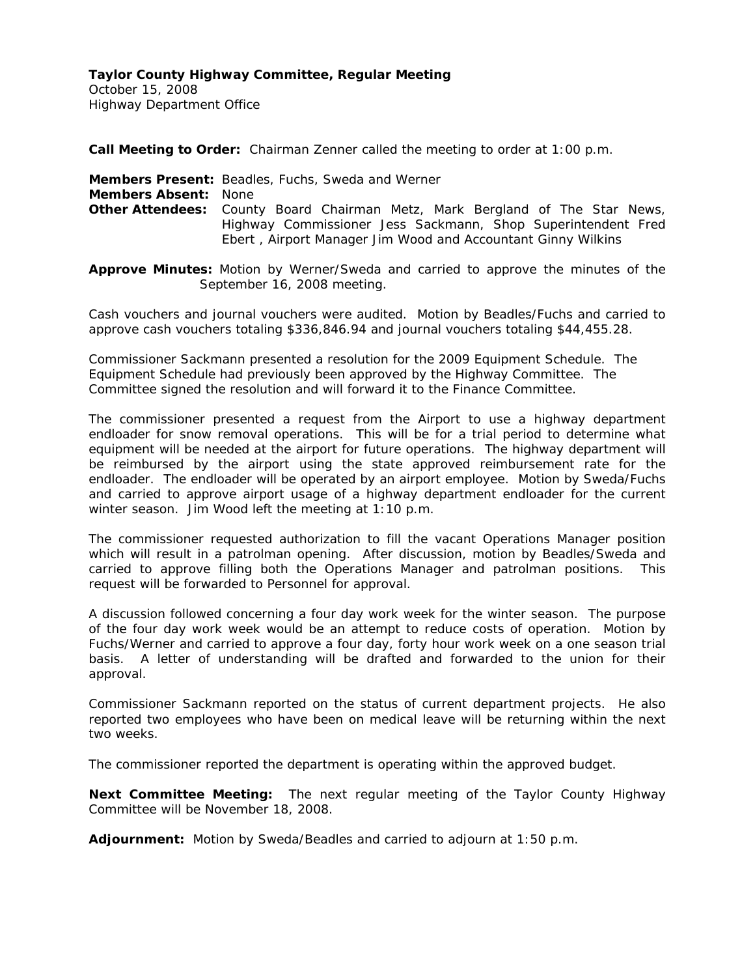October 15, 2008 Highway Department Office

**Call Meeting to Order:** Chairman Zenner called the meeting to order at 1:00 p.m.

**Members Present:** Beadles, Fuchs, Sweda and Werner **Members Absent:** None **Other Attendees:** County Board Chairman Metz, Mark Bergland of The Star News, Highway Commissioner Jess Sackmann, Shop Superintendent Fred Ebert , Airport Manager Jim Wood and Accountant Ginny Wilkins

**Approve Minutes:** Motion by Werner/Sweda and carried to approve the minutes of the September 16, 2008 meeting.

Cash vouchers and journal vouchers were audited. Motion by Beadles/Fuchs and carried to approve cash vouchers totaling \$336,846.94 and journal vouchers totaling \$44,455.28.

Commissioner Sackmann presented a resolution for the 2009 Equipment Schedule. The Equipment Schedule had previously been approved by the Highway Committee. The Committee signed the resolution and will forward it to the Finance Committee.

The commissioner presented a request from the Airport to use a highway department endloader for snow removal operations. This will be for a trial period to determine what equipment will be needed at the airport for future operations. The highway department will be reimbursed by the airport using the state approved reimbursement rate for the endloader. The endloader will be operated by an airport employee. Motion by Sweda/Fuchs and carried to approve airport usage of a highway department endloader for the current winter season. Jim Wood left the meeting at 1:10 p.m.

The commissioner requested authorization to fill the vacant Operations Manager position which will result in a patrolman opening. After discussion, motion by Beadles/Sweda and carried to approve filling both the Operations Manager and patrolman positions. This request will be forwarded to Personnel for approval.

A discussion followed concerning a four day work week for the winter season. The purpose of the four day work week would be an attempt to reduce costs of operation. Motion by Fuchs/Werner and carried to approve a four day, forty hour work week on a one season trial basis. A letter of understanding will be drafted and forwarded to the union for their approval.

Commissioner Sackmann reported on the status of current department projects. He also reported two employees who have been on medical leave will be returning within the next two weeks.

The commissioner reported the department is operating within the approved budget.

**Next Committee Meeting:** The next regular meeting of the Taylor County Highway Committee will be November 18, 2008.

**Adjournment:** Motion by Sweda/Beadles and carried to adjourn at 1:50 p.m.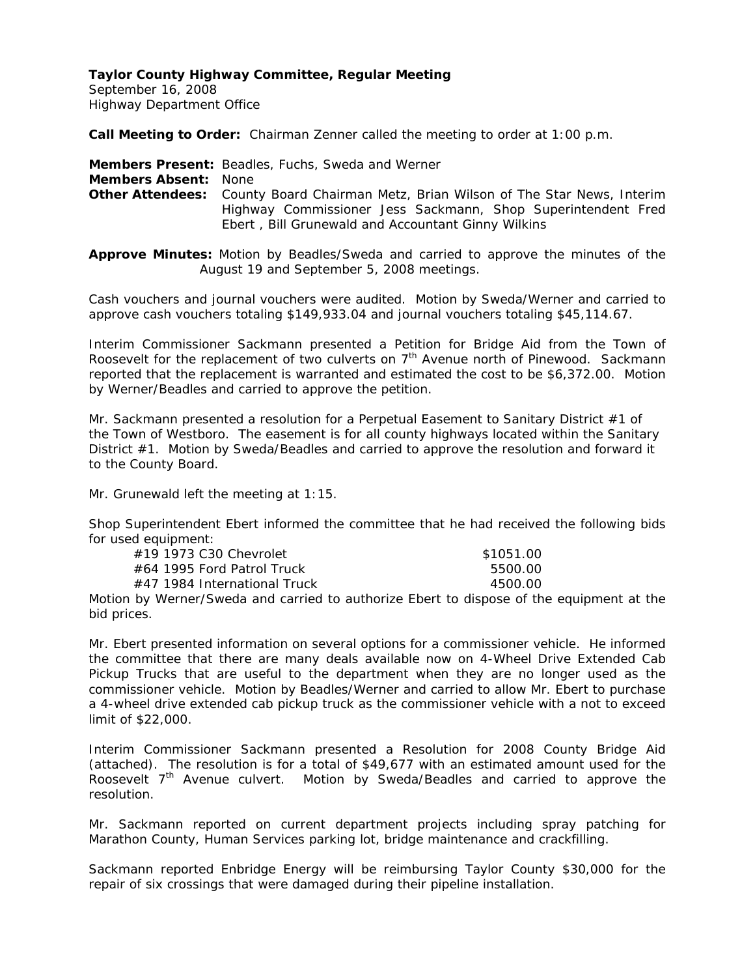September 16, 2008 Highway Department Office

**Call Meeting to Order:** Chairman Zenner called the meeting to order at 1:00 p.m.

**Members Present:** Beadles, Fuchs, Sweda and Werner

**Members Absent:** None

**Other Attendees:** County Board Chairman Metz, Brian Wilson of The Star News, Interim Highway Commissioner Jess Sackmann, Shop Superintendent Fred Ebert , Bill Grunewald and Accountant Ginny Wilkins

**Approve Minutes:** Motion by Beadles/Sweda and carried to approve the minutes of the August 19 and September 5, 2008 meetings.

Cash vouchers and journal vouchers were audited. Motion by Sweda/Werner and carried to approve cash vouchers totaling \$149,933.04 and journal vouchers totaling \$45,114.67.

Interim Commissioner Sackmann presented a Petition for Bridge Aid from the Town of Roosevelt for the replacement of two culverts on  $7<sup>th</sup>$  Avenue north of Pinewood. Sackmann reported that the replacement is warranted and estimated the cost to be \$6,372.00. Motion by Werner/Beadles and carried to approve the petition.

Mr. Sackmann presented a resolution for a Perpetual Easement to Sanitary District #1 of the Town of Westboro. The easement is for all county highways located within the Sanitary District #1. Motion by Sweda/Beadles and carried to approve the resolution and forward it to the County Board.

Mr. Grunewald left the meeting at 1:15.

Shop Superintendent Ebert informed the committee that he had received the following bids for used equipment:

| #19 1973 C30 Chevrolet           | \$1051.00 |
|----------------------------------|-----------|
| $\#64$ 1995 Ford Patrol Truck    | 5500.00   |
| $\#$ 47 1984 International Truck | 4500.00   |

Motion by Werner/Sweda and carried to authorize Ebert to dispose of the equipment at the bid prices.

Mr. Ebert presented information on several options for a commissioner vehicle. He informed the committee that there are many deals available now on 4-Wheel Drive Extended Cab Pickup Trucks that are useful to the department when they are no longer used as the commissioner vehicle. Motion by Beadles/Werner and carried to allow Mr. Ebert to purchase a 4-wheel drive extended cab pickup truck as the commissioner vehicle with a not to exceed limit of \$22,000.

Interim Commissioner Sackmann presented a Resolution for 2008 County Bridge Aid (attached). The resolution is for a total of \$49,677 with an estimated amount used for the Roosevelt 7<sup>th</sup> Avenue culvert. Motion by Sweda/Beadles and carried to approve the resolution.

Mr. Sackmann reported on current department projects including spray patching for Marathon County, Human Services parking lot, bridge maintenance and crackfilling.

Sackmann reported Enbridge Energy will be reimbursing Taylor County \$30,000 for the repair of six crossings that were damaged during their pipeline installation.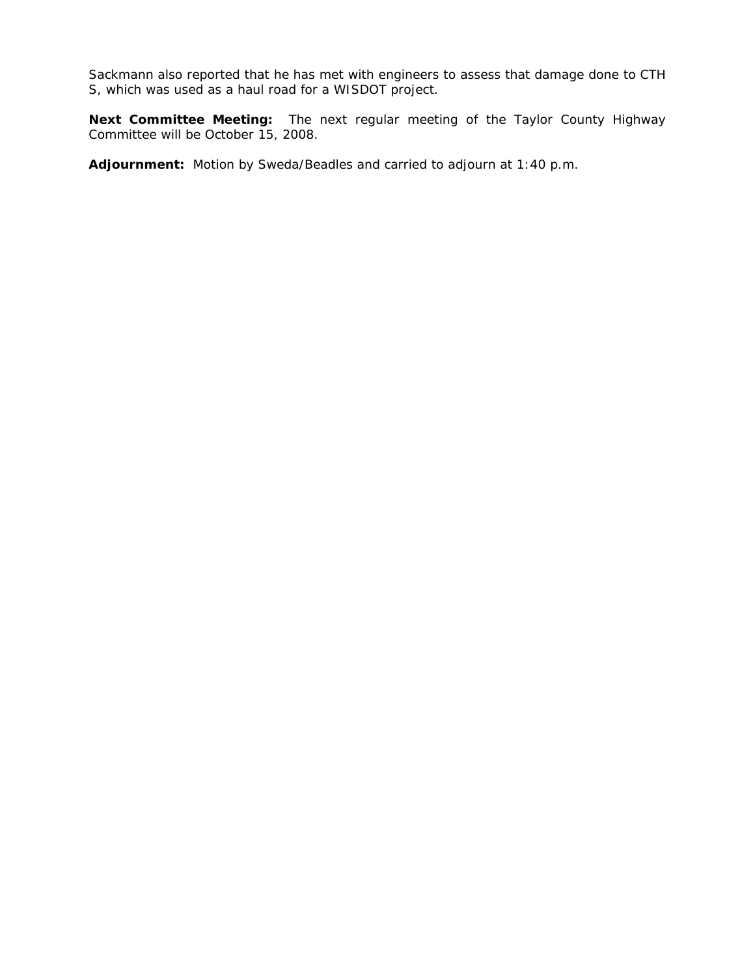Sackmann also reported that he has met with engineers to assess that damage done to CTH S, which was used as a haul road for a WISDOT project.

**Next Committee Meeting:** The next regular meeting of the Taylor County Highway Committee will be October 15, 2008.

**Adjournment:** Motion by Sweda/Beadles and carried to adjourn at 1:40 p.m.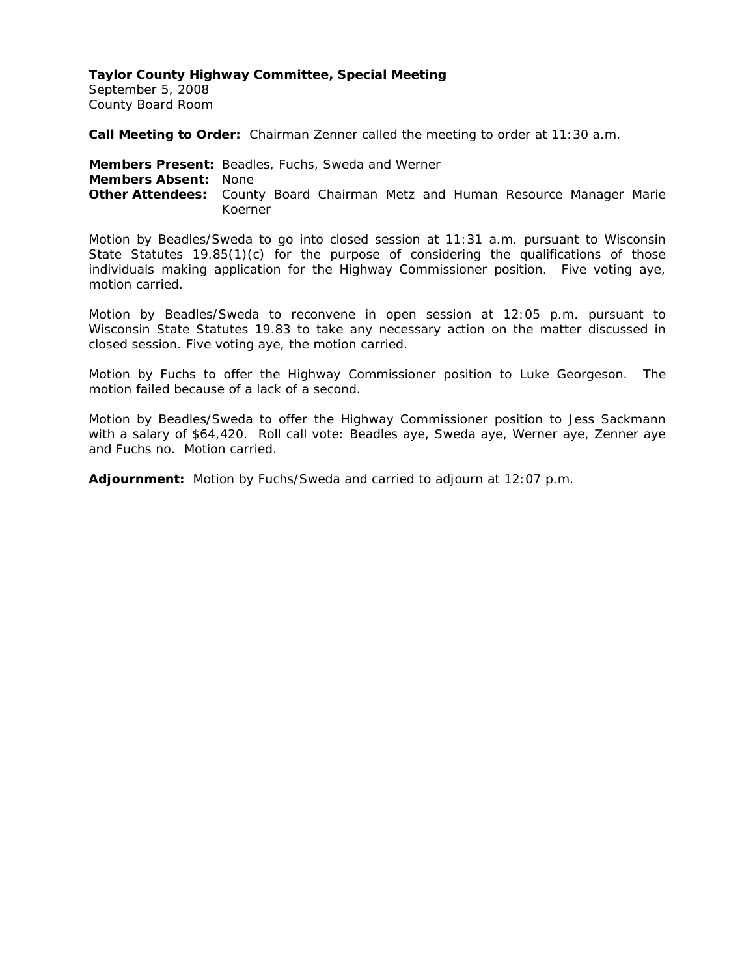## **Taylor County Highway Committee, Special Meeting**

September 5, 2008 County Board Room

**Call Meeting to Order:** Chairman Zenner called the meeting to order at 11:30 a.m.

**Members Present:** Beadles, Fuchs, Sweda and Werner **Members Absent:** None **Other Attendees:** County Board Chairman Metz and Human Resource Manager Marie Koerner

Motion by Beadles/Sweda to go into closed session at 11:31 a.m. pursuant to Wisconsin State Statutes 19.85(1)(c) for the purpose of considering the qualifications of those individuals making application for the Highway Commissioner position. Five voting aye, motion carried.

Motion by Beadles/Sweda to reconvene in open session at 12:05 p.m. pursuant to Wisconsin State Statutes 19.83 to take any necessary action on the matter discussed in closed session. Five voting aye, the motion carried.

Motion by Fuchs to offer the Highway Commissioner position to Luke Georgeson. The motion failed because of a lack of a second.

Motion by Beadles/Sweda to offer the Highway Commissioner position to Jess Sackmann with a salary of \$64,420. Roll call vote: Beadles aye, Sweda aye, Werner aye, Zenner aye and Fuchs no. Motion carried.

**Adjournment:** Motion by Fuchs/Sweda and carried to adjourn at 12:07 p.m.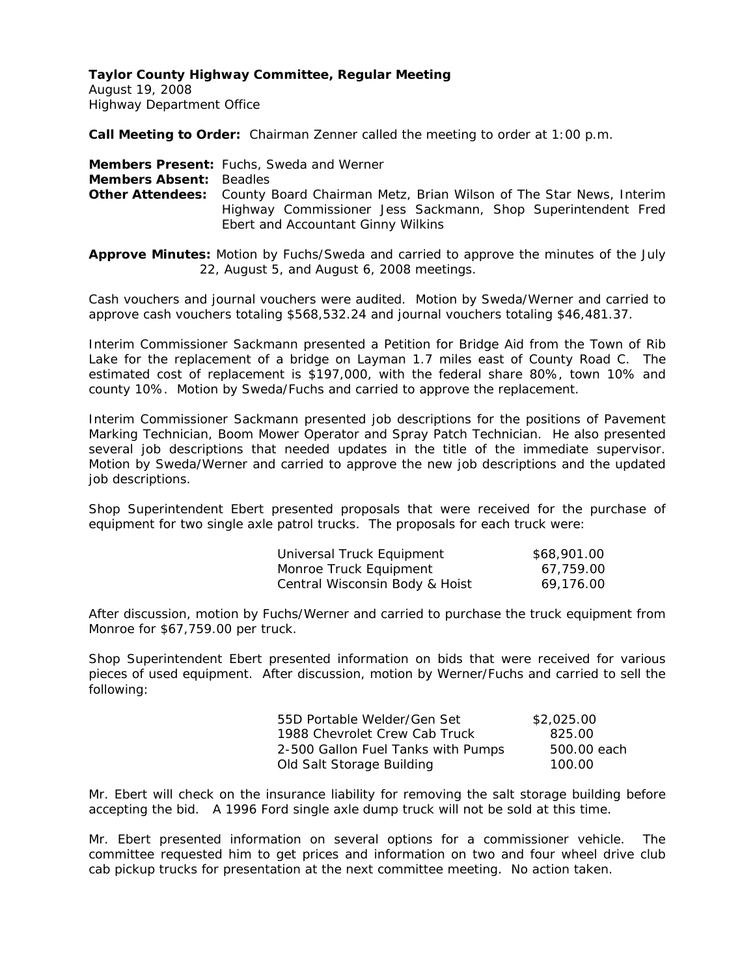August 19, 2008 Highway Department Office

**Call Meeting to Order:** Chairman Zenner called the meeting to order at 1:00 p.m.

**Members Present:** Fuchs, Sweda and Werner

**Members Absent:** Beadles

**Other Attendees:** County Board Chairman Metz, Brian Wilson of The Star News, Interim Highway Commissioner Jess Sackmann, Shop Superintendent Fred Ebert and Accountant Ginny Wilkins

**Approve Minutes:** Motion by Fuchs/Sweda and carried to approve the minutes of the July 22, August 5, and August 6, 2008 meetings.

Cash vouchers and journal vouchers were audited. Motion by Sweda/Werner and carried to approve cash vouchers totaling \$568,532.24 and journal vouchers totaling \$46,481.37.

Interim Commissioner Sackmann presented a Petition for Bridge Aid from the Town of Rib Lake for the replacement of a bridge on Layman 1.7 miles east of County Road C. The estimated cost of replacement is \$197,000, with the federal share 80%, town 10% and county 10%. Motion by Sweda/Fuchs and carried to approve the replacement.

Interim Commissioner Sackmann presented job descriptions for the positions of Pavement Marking Technician, Boom Mower Operator and Spray Patch Technician. He also presented several job descriptions that needed updates in the title of the immediate supervisor. Motion by Sweda/Werner and carried to approve the new job descriptions and the updated job descriptions.

Shop Superintendent Ebert presented proposals that were received for the purchase of equipment for two single axle patrol trucks. The proposals for each truck were:

| Universal Truck Equipment      | \$68,901.00 |
|--------------------------------|-------------|
| Monroe Truck Equipment         | 67.759.00   |
| Central Wisconsin Body & Hoist | 69,176.00   |

After discussion, motion by Fuchs/Werner and carried to purchase the truck equipment from Monroe for \$67,759.00 per truck.

Shop Superintendent Ebert presented information on bids that were received for various pieces of used equipment. After discussion, motion by Werner/Fuchs and carried to sell the following:

| 55D Portable Welder/Gen Set        | \$2,025.00  |
|------------------------------------|-------------|
| 1988 Chevrolet Crew Cab Truck      | 825.00      |
| 2-500 Gallon Fuel Tanks with Pumps | 500.00 each |
| Old Salt Storage Building          | 100.00      |

Mr. Ebert will check on the insurance liability for removing the salt storage building before accepting the bid. A 1996 Ford single axle dump truck will not be sold at this time.

Mr. Ebert presented information on several options for a commissioner vehicle. The committee requested him to get prices and information on two and four wheel drive club cab pickup trucks for presentation at the next committee meeting. No action taken.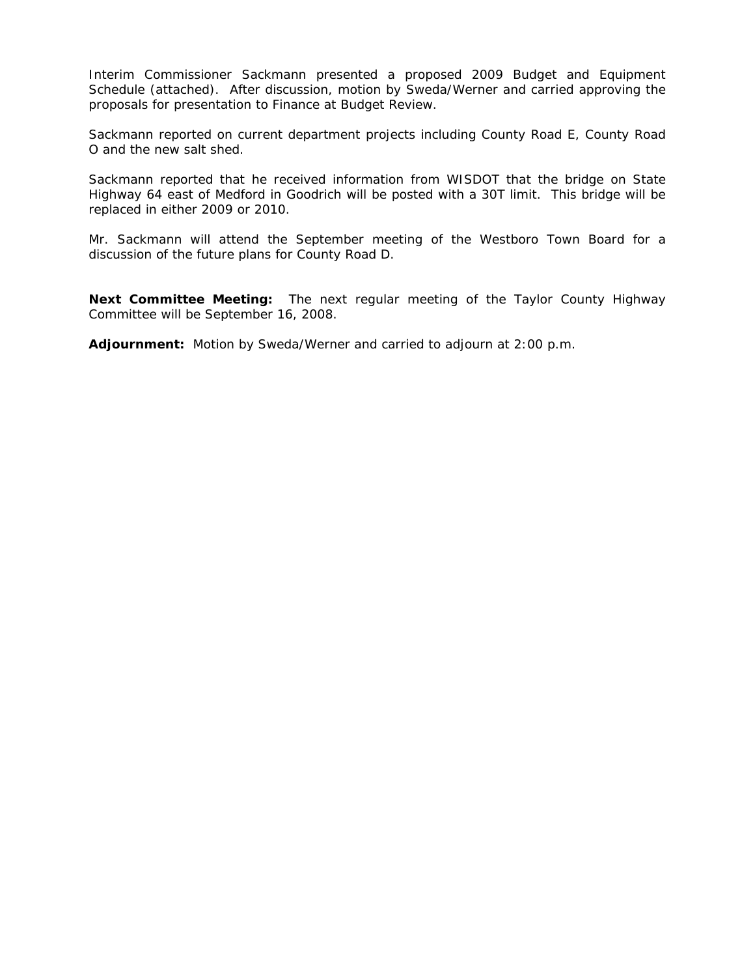Interim Commissioner Sackmann presented a proposed 2009 Budget and Equipment Schedule (attached). After discussion, motion by Sweda/Werner and carried approving the proposals for presentation to Finance at Budget Review.

Sackmann reported on current department projects including County Road E, County Road O and the new salt shed.

Sackmann reported that he received information from WISDOT that the bridge on State Highway 64 east of Medford in Goodrich will be posted with a 30T limit. This bridge will be replaced in either 2009 or 2010.

Mr. Sackmann will attend the September meeting of the Westboro Town Board for a discussion of the future plans for County Road D.

**Next Committee Meeting:** The next regular meeting of the Taylor County Highway Committee will be September 16, 2008.

**Adjournment:** Motion by Sweda/Werner and carried to adjourn at 2:00 p.m.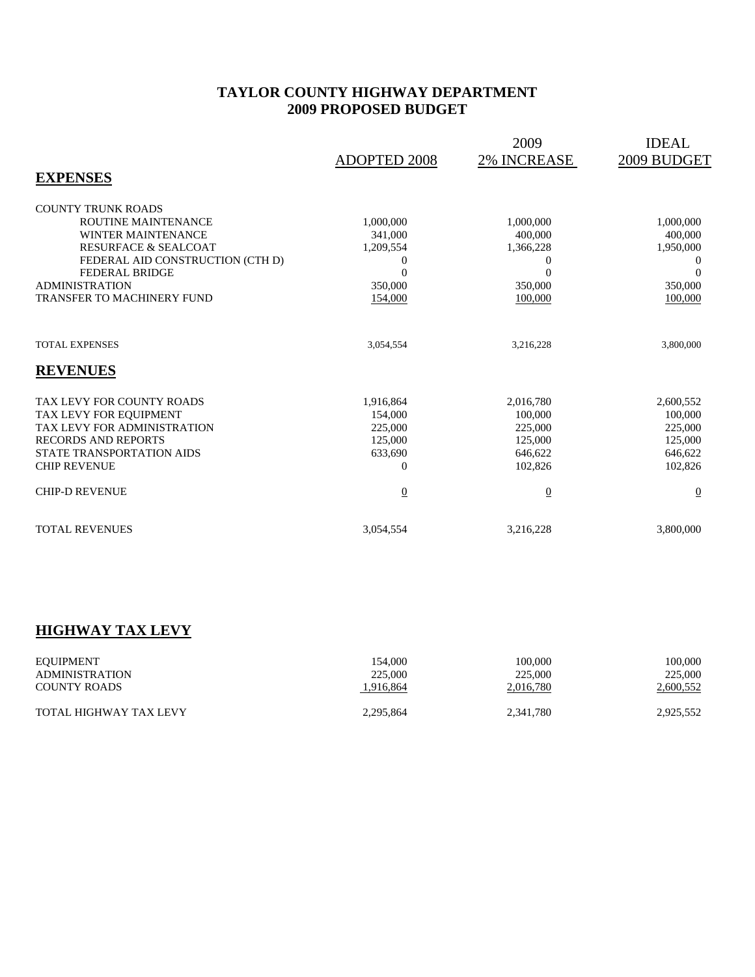# **TAYLOR COUNTY HIGHWAY DEPARTMENT 2009 PROPOSED BUDGET**

|                                                    | <b>ADOPTED 2008</b>        | 2009<br><b>2% INCREASE</b>   | <b>IDEAL</b><br>2009 BUDGET |
|----------------------------------------------------|----------------------------|------------------------------|-----------------------------|
| <b>EXPENSES</b>                                    |                            |                              |                             |
| <b>COUNTY TRUNK ROADS</b>                          |                            |                              |                             |
| <b>ROUTINE MAINTENANCE</b>                         | 1,000,000                  | 1,000,000                    | 1,000,000                   |
| <b>WINTER MAINTENANCE</b>                          | 341,000                    | 400,000                      | 400,000                     |
| <b>RESURFACE &amp; SEALCOAT</b>                    | 1,209,554                  | 1,366,228                    | 1,950,000                   |
| FEDERAL AID CONSTRUCTION (CTH D)<br>FEDERAL BRIDGE | $\overline{0}$<br>$\theta$ | $\boldsymbol{0}$<br>$\theta$ | 0<br>$\Omega$               |
| <b>ADMINISTRATION</b>                              | 350,000                    | 350,000                      | 350,000                     |
| <b>TRANSFER TO MACHINERY FUND</b>                  | 154,000                    | 100,000                      | 100,000                     |
|                                                    |                            |                              |                             |
| <b>TOTAL EXPENSES</b>                              | 3,054,554                  | 3,216,228                    | 3,800,000                   |
| <b>REVENUES</b>                                    |                            |                              |                             |
| TAX LEVY FOR COUNTY ROADS                          | 1,916,864                  | 2,016,780                    | 2,600,552                   |
| TAX LEVY FOR EQUIPMENT                             | 154,000                    | 100,000                      | 100,000                     |
| TAX LEVY FOR ADMINISTRATION                        | 225,000                    | 225,000                      | 225,000                     |
| <b>RECORDS AND REPORTS</b>                         | 125,000                    | 125,000                      | 125,000                     |
| STATE TRANSPORTATION AIDS                          | 633,690                    | 646.622                      | 646,622                     |
| <b>CHIP REVENUE</b>                                | $\Omega$                   | 102,826                      | 102,826                     |
| <b>CHIP-D REVENUE</b>                              | $\underline{0}$            | $\overline{0}$               | $\overline{0}$              |
| <b>TOTAL REVENUES</b>                              | 3,054,554                  | 3,216,228                    | 3,800,000                   |

# **HIGHWAY TAX LEVY**

| EOUIPMENT              | 154,000   | 100,000   | 100.000   |
|------------------------|-----------|-----------|-----------|
| ADMINISTRATION         | 225,000   | 225,000   | 225,000   |
| <b>COUNTY ROADS</b>    | 1,916,864 | 2,016,780 | 2,600,552 |
| TOTAL HIGHWAY TAX LEVY | 2,295,864 | 2,341,780 | 2,925,552 |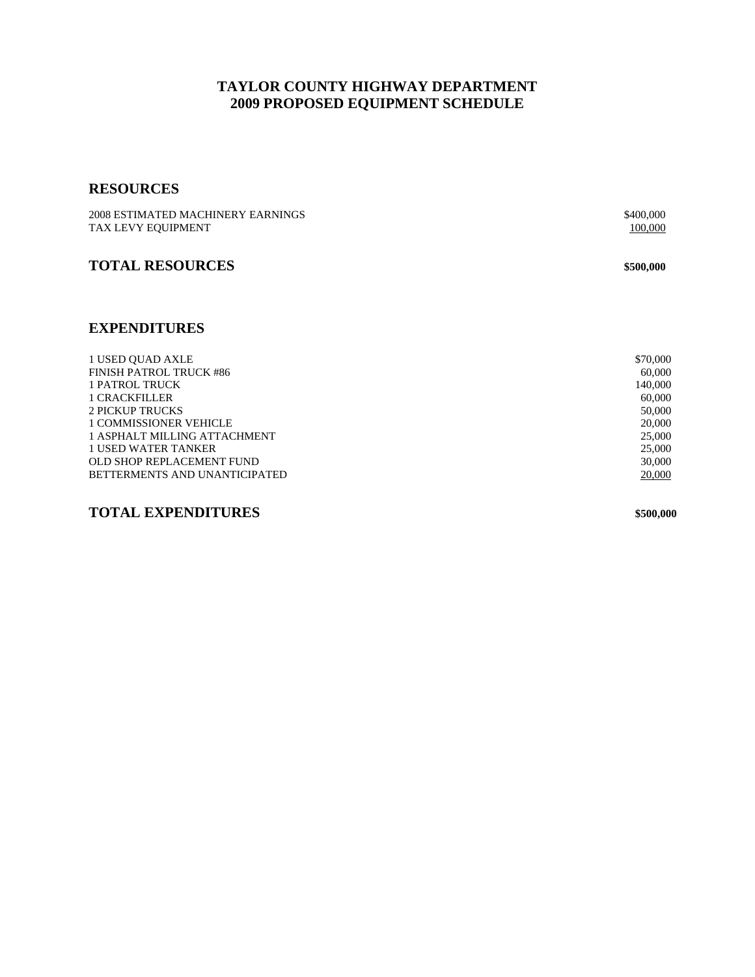# **TAYLOR COUNTY HIGHWAY DEPARTMENT 2009 PROPOSED EQUIPMENT SCHEDULE**

# **RESOURCES**

| 2008 ESTIMATED MACHINERY EARNINGS | \$400,000 |
|-----------------------------------|-----------|
| TAX LEVY EQUIPMENT                | 100,000   |
|                                   |           |
| <b>TOTAL RESOURCES</b>            | \$500,000 |
|                                   |           |
|                                   |           |
|                                   |           |
| <b>EXPENDITURES</b>               |           |
|                                   |           |
| 1 USED OUAD AXLE                  | \$70,000  |
| <b>FINISH PATROL TRUCK #86</b>    | 60,000    |
| 1 PATROL TRUCK                    | 140,000   |
| <b>1 CRACKFILLER</b>              | 60,000    |
| <b>2 PICKUP TRUCKS</b>            | 50,000    |
| <b>1 COMMISSIONER VEHICLE</b>     | 20,000    |
| 1 ASPHALT MILLING ATTACHMENT      | 25,000    |
| <b>1 USED WATER TANKER</b>        | 25,000    |
| OLD SHOP REPLACEMENT FUND         | 30,000    |
| BETTERMENTS AND UNANTICIPATED     | 20,000    |

**TOTAL EXPENDITURES \$500,000**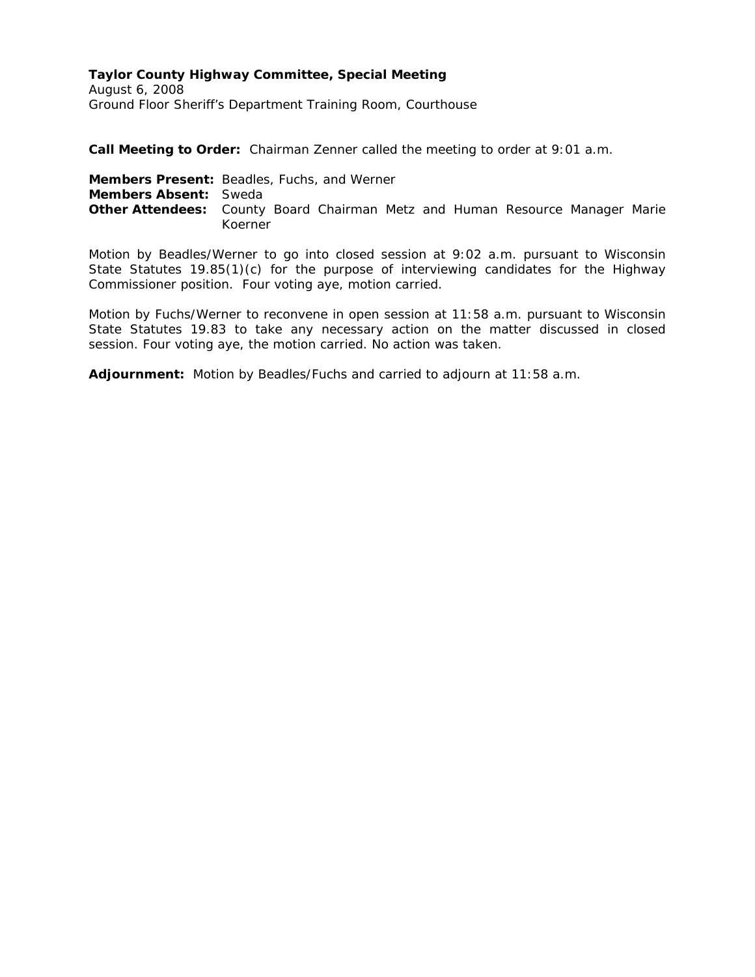# **Taylor County Highway Committee, Special Meeting**

August 6, 2008 Ground Floor Sheriff's Department Training Room, Courthouse

**Call Meeting to Order:** Chairman Zenner called the meeting to order at 9:01 a.m.

**Members Present:** Beadles, Fuchs, and Werner **Members Absent:** Sweda **Other Attendees:** County Board Chairman Metz and Human Resource Manager Marie Koerner

Motion by Beadles/Werner to go into closed session at 9:02 a.m. pursuant to Wisconsin State Statutes 19.85(1)(c) for the purpose of interviewing candidates for the Highway Commissioner position. Four voting aye, motion carried.

Motion by Fuchs/Werner to reconvene in open session at 11:58 a.m. pursuant to Wisconsin State Statutes 19.83 to take any necessary action on the matter discussed in closed session. Four voting aye, the motion carried. No action was taken.

**Adjournment:** Motion by Beadles/Fuchs and carried to adjourn at 11:58 a.m.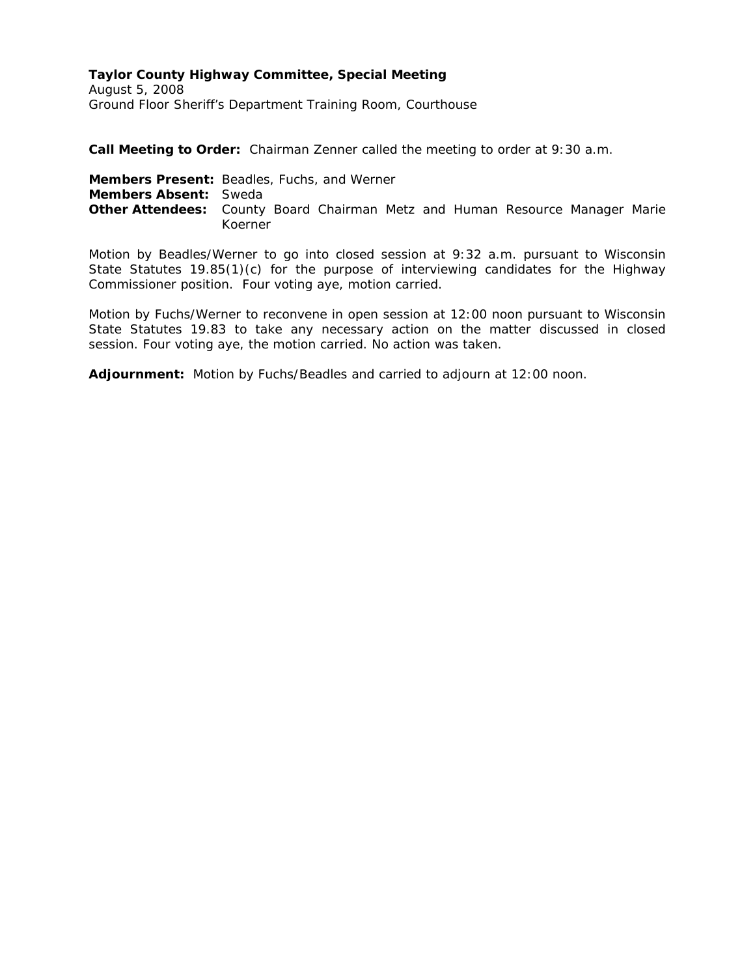# **Taylor County Highway Committee, Special Meeting**

August 5, 2008 Ground Floor Sheriff's Department Training Room, Courthouse

**Call Meeting to Order:** Chairman Zenner called the meeting to order at 9:30 a.m.

**Members Present:** Beadles, Fuchs, and Werner **Members Absent:** Sweda **Other Attendees:** County Board Chairman Metz and Human Resource Manager Marie Koerner

Motion by Beadles/Werner to go into closed session at 9:32 a.m. pursuant to Wisconsin State Statutes 19.85(1)(c) for the purpose of interviewing candidates for the Highway Commissioner position. Four voting aye, motion carried.

Motion by Fuchs/Werner to reconvene in open session at 12:00 noon pursuant to Wisconsin State Statutes 19.83 to take any necessary action on the matter discussed in closed session. Four voting aye, the motion carried. No action was taken.

**Adjournment:** Motion by Fuchs/Beadles and carried to adjourn at 12:00 noon.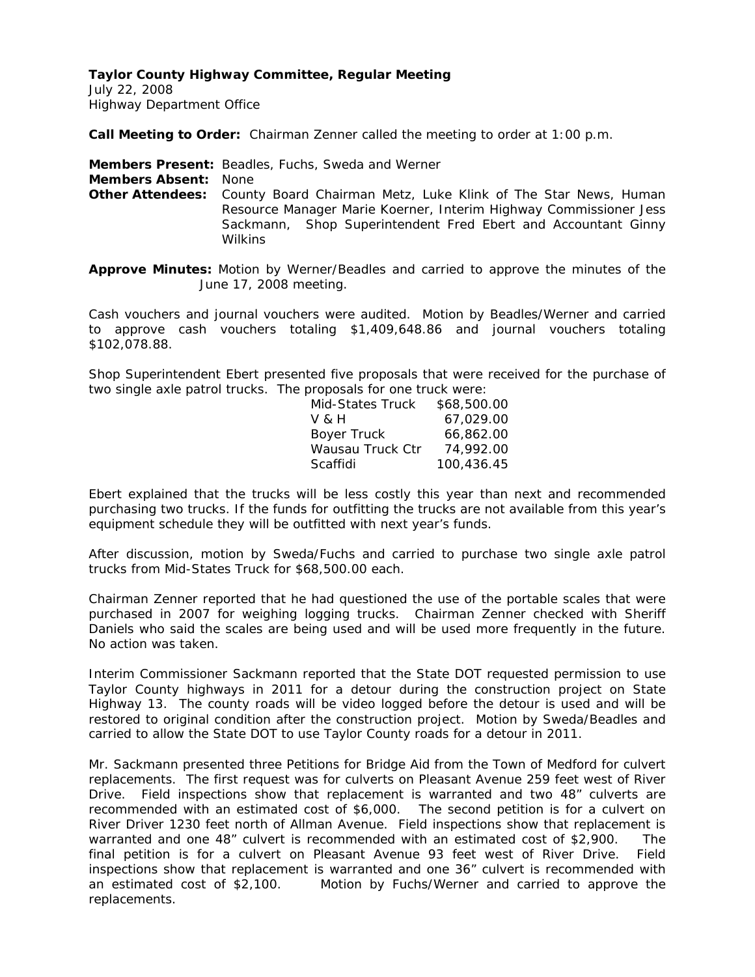July 22, 2008 Highway Department Office

**Call Meeting to Order:** Chairman Zenner called the meeting to order at 1:00 p.m.

**Members Present:** Beadles, Fuchs, Sweda and Werner

**Members Absent:** None

**Other Attendees:** County Board Chairman Metz, Luke Klink of The Star News, Human Resource Manager Marie Koerner, Interim Highway Commissioner Jess Sackmann, Shop Superintendent Fred Ebert and Accountant Ginny Wilkins

**Approve Minutes:** Motion by Werner/Beadles and carried to approve the minutes of the June 17, 2008 meeting.

Cash vouchers and journal vouchers were audited. Motion by Beadles/Werner and carried to approve cash vouchers totaling \$1,409,648.86 and journal vouchers totaling \$102,078.88.

Shop Superintendent Ebert presented five proposals that were received for the purchase of two single axle patrol trucks. The proposals for one truck were:

| Mid-States Truck | \$68,500.00 |
|------------------|-------------|
| V & H            | 67.029.00   |
| Boyer Truck      | 66,862.00   |
| Wausau Truck Ctr | 74,992.00   |
| Scaffidi         | 100,436.45  |
|                  |             |

Ebert explained that the trucks will be less costly this year than next and recommended purchasing two trucks. If the funds for outfitting the trucks are not available from this year's equipment schedule they will be outfitted with next year's funds.

After discussion, motion by Sweda/Fuchs and carried to purchase two single axle patrol trucks from Mid-States Truck for \$68,500.00 each.

Chairman Zenner reported that he had questioned the use of the portable scales that were purchased in 2007 for weighing logging trucks. Chairman Zenner checked with Sheriff Daniels who said the scales are being used and will be used more frequently in the future. No action was taken.

Interim Commissioner Sackmann reported that the State DOT requested permission to use Taylor County highways in 2011 for a detour during the construction project on State Highway 13. The county roads will be video logged before the detour is used and will be restored to original condition after the construction project. Motion by Sweda/Beadles and carried to allow the State DOT to use Taylor County roads for a detour in 2011.

Mr. Sackmann presented three Petitions for Bridge Aid from the Town of Medford for culvert replacements. The first request was for culverts on Pleasant Avenue 259 feet west of River Drive. Field inspections show that replacement is warranted and two 48" culverts are recommended with an estimated cost of \$6,000. The second petition is for a culvert on River Driver 1230 feet north of Allman Avenue. Field inspections show that replacement is warranted and one 48" culvert is recommended with an estimated cost of \$2,900. The final petition is for a culvert on Pleasant Avenue 93 feet west of River Drive. Field inspections show that replacement is warranted and one 36" culvert is recommended with an estimated cost of \$2,100. Motion by Fuchs/Werner and carried to approve the replacements.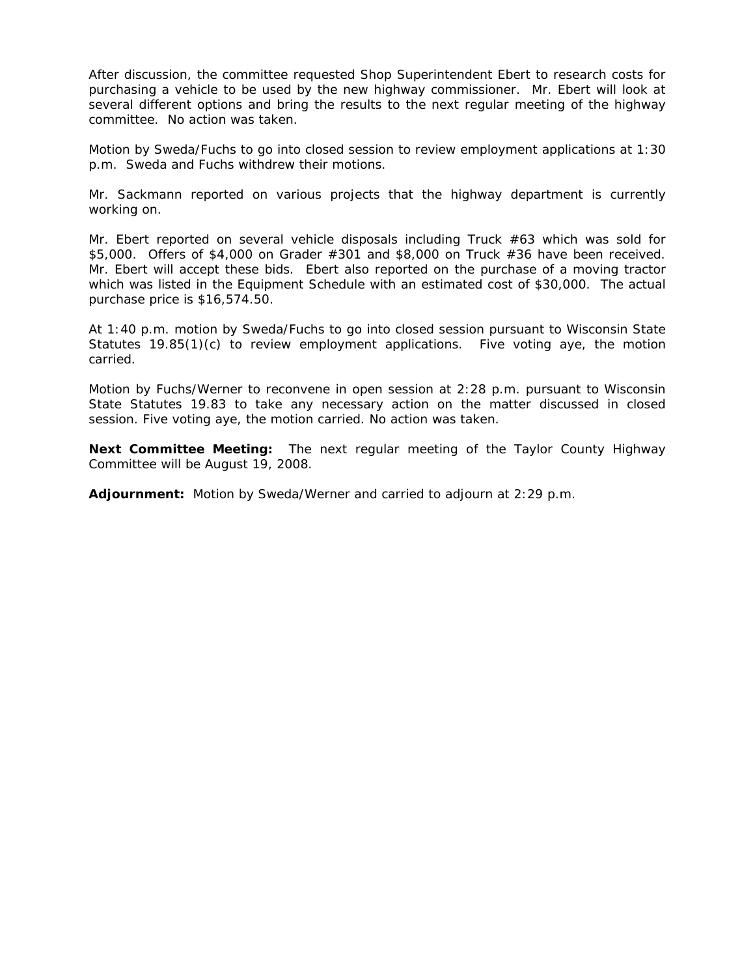After discussion, the committee requested Shop Superintendent Ebert to research costs for purchasing a vehicle to be used by the new highway commissioner. Mr. Ebert will look at several different options and bring the results to the next regular meeting of the highway committee. No action was taken.

Motion by Sweda/Fuchs to go into closed session to review employment applications at 1:30 p.m. Sweda and Fuchs withdrew their motions.

Mr. Sackmann reported on various projects that the highway department is currently working on.

Mr. Ebert reported on several vehicle disposals including Truck  $#63$  which was sold for \$5,000. Offers of \$4,000 on Grader #301 and \$8,000 on Truck #36 have been received. Mr. Ebert will accept these bids. Ebert also reported on the purchase of a moving tractor which was listed in the Equipment Schedule with an estimated cost of \$30,000. The actual purchase price is \$16,574.50.

At 1:40 p.m. motion by Sweda/Fuchs to go into closed session pursuant to Wisconsin State Statutes 19.85(1)(c) to review employment applications. Five voting aye, the motion carried.

Motion by Fuchs/Werner to reconvene in open session at 2:28 p.m. pursuant to Wisconsin State Statutes 19.83 to take any necessary action on the matter discussed in closed session. Five voting aye, the motion carried. No action was taken.

**Next Committee Meeting:** The next regular meeting of the Taylor County Highway Committee will be August 19, 2008.

**Adjournment:** Motion by Sweda/Werner and carried to adjourn at 2:29 p.m.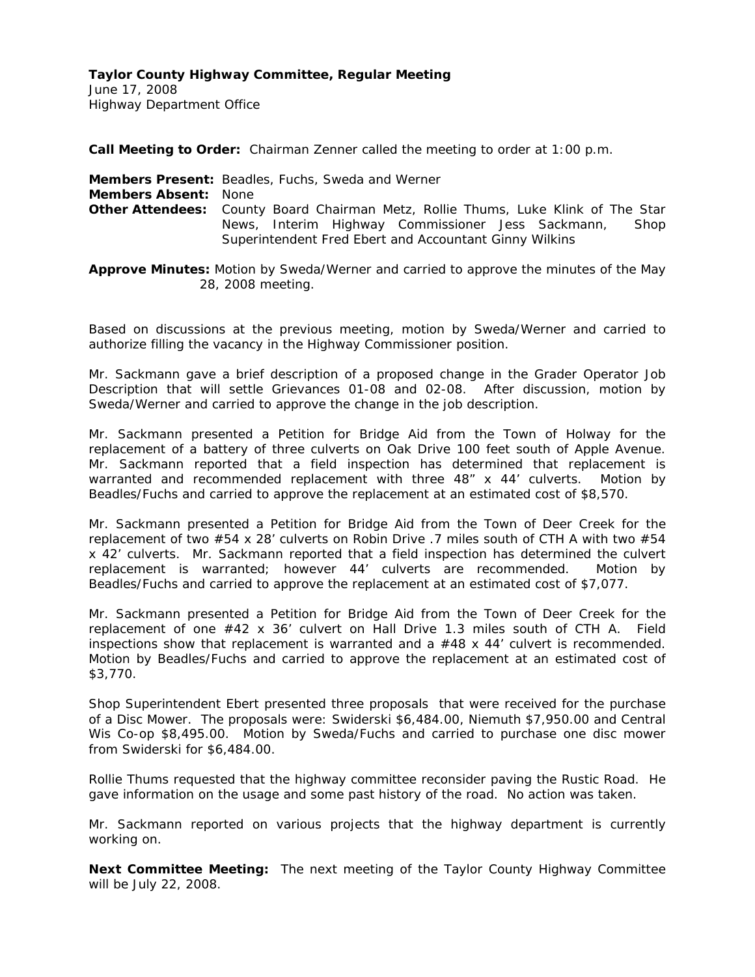June 17, 2008 Highway Department Office

**Call Meeting to Order:** Chairman Zenner called the meeting to order at 1:00 p.m.

**Members Present:** Beadles, Fuchs, Sweda and Werner **Members Absent:** None **Other Attendees:** County Board Chairman Metz, Rollie Thums, Luke Klink of The Star News, Interim Highway Commissioner Jess Sackmann, Shop Superintendent Fred Ebert and Accountant Ginny Wilkins

**Approve Minutes:** Motion by Sweda/Werner and carried to approve the minutes of the May 28, 2008 meeting.

Based on discussions at the previous meeting, motion by Sweda/Werner and carried to authorize filling the vacancy in the Highway Commissioner position.

Mr. Sackmann gave a brief description of a proposed change in the Grader Operator Job Description that will settle Grievances 01-08 and 02-08. After discussion, motion by Sweda/Werner and carried to approve the change in the job description.

Mr. Sackmann presented a Petition for Bridge Aid from the Town of Holway for the replacement of a battery of three culverts on Oak Drive 100 feet south of Apple Avenue. Mr. Sackmann reported that a field inspection has determined that replacement is warranted and recommended replacement with three 48" x 44' culverts. Motion by Beadles/Fuchs and carried to approve the replacement at an estimated cost of \$8,570.

Mr. Sackmann presented a Petition for Bridge Aid from the Town of Deer Creek for the replacement of two #54 x 28' culverts on Robin Drive .7 miles south of CTH A with two #54 x 42' culverts. Mr. Sackmann reported that a field inspection has determined the culvert replacement is warranted; however 44' culverts are recommended. Motion by Beadles/Fuchs and carried to approve the replacement at an estimated cost of \$7,077.

Mr. Sackmann presented a Petition for Bridge Aid from the Town of Deer Creek for the replacement of one #42 x 36' culvert on Hall Drive 1.3 miles south of CTH A. Field inspections show that replacement is warranted and a  $#48 \times 44'$  culvert is recommended. Motion by Beadles/Fuchs and carried to approve the replacement at an estimated cost of \$3,770.

Shop Superintendent Ebert presented three proposals that were received for the purchase of a Disc Mower. The proposals were: Swiderski \$6,484.00, Niemuth \$7,950.00 and Central Wis Co-op \$8,495.00. Motion by Sweda/Fuchs and carried to purchase one disc mower from Swiderski for \$6,484.00.

Rollie Thums requested that the highway committee reconsider paving the Rustic Road. He gave information on the usage and some past history of the road. No action was taken.

Mr. Sackmann reported on various projects that the highway department is currently working on.

**Next Committee Meeting:** The next meeting of the Taylor County Highway Committee will be July 22, 2008.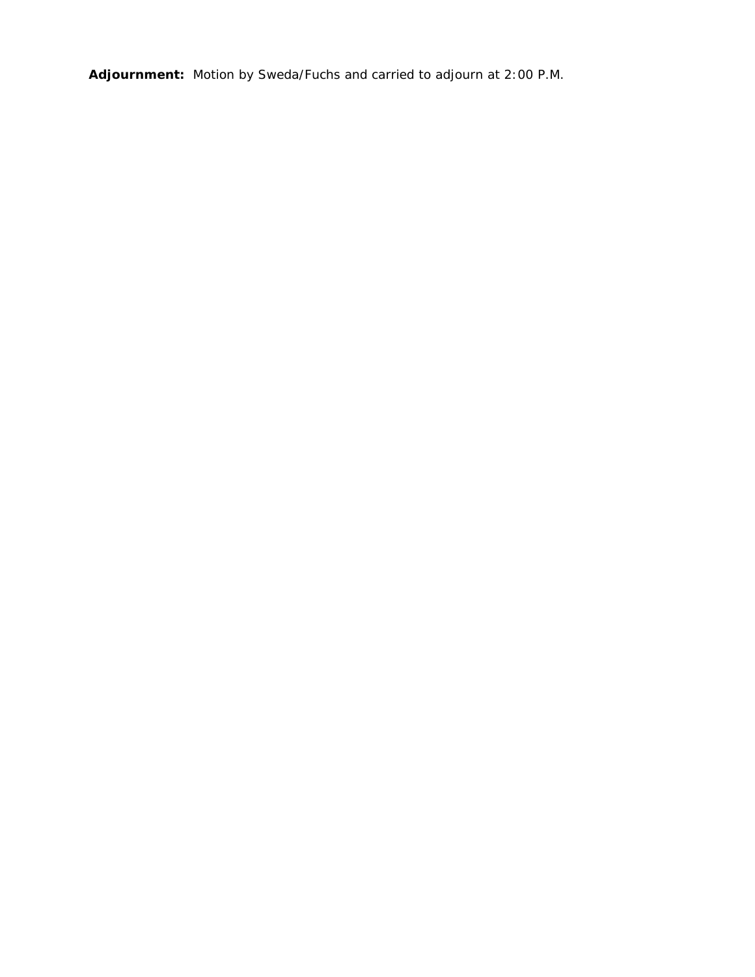**Adjournment:** Motion by Sweda/Fuchs and carried to adjourn at 2:00 P.M.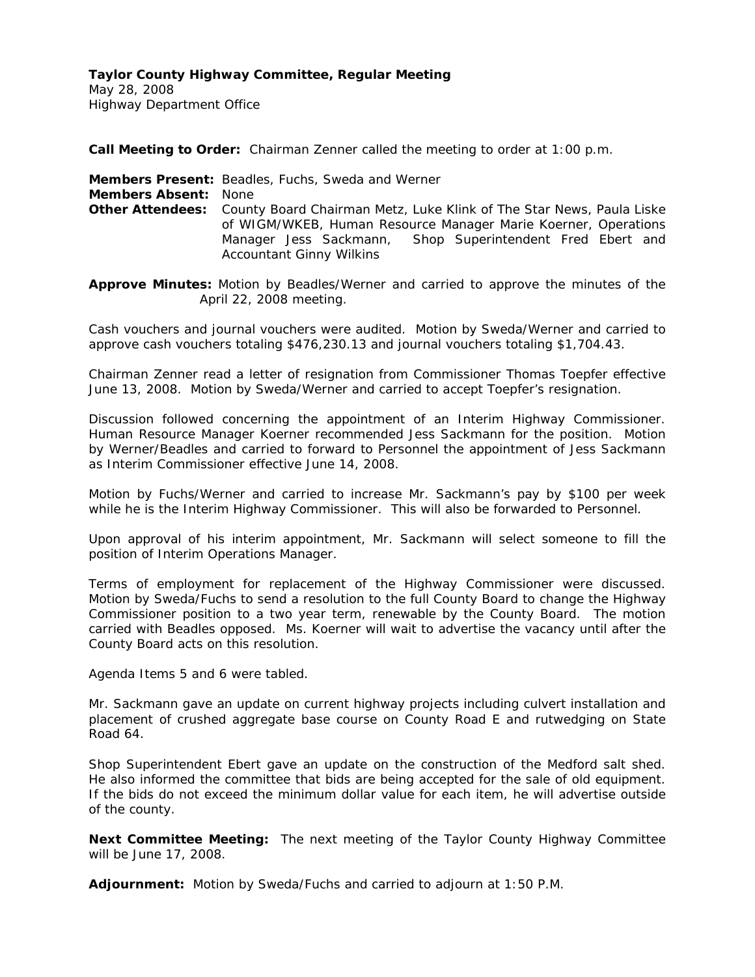May 28, 2008 Highway Department Office

**Call Meeting to Order:** Chairman Zenner called the meeting to order at 1:00 p.m.

**Members Present:** Beadles, Fuchs, Sweda and Werner **Members Absent:** None **Other Attendees:** County Board Chairman Metz, Luke Klink of The Star News, Paula Liske of WIGM/WKEB, Human Resource Manager Marie Koerner, Operations Manager Jess Sackmann, Shop Superintendent Fred Ebert and Accountant Ginny Wilkins

**Approve Minutes:** Motion by Beadles/Werner and carried to approve the minutes of the April 22, 2008 meeting.

Cash vouchers and journal vouchers were audited. Motion by Sweda/Werner and carried to approve cash vouchers totaling \$476,230.13 and journal vouchers totaling \$1,704.43.

Chairman Zenner read a letter of resignation from Commissioner Thomas Toepfer effective June 13, 2008. Motion by Sweda/Werner and carried to accept Toepfer's resignation.

Discussion followed concerning the appointment of an Interim Highway Commissioner. Human Resource Manager Koerner recommended Jess Sackmann for the position. Motion by Werner/Beadles and carried to forward to Personnel the appointment of Jess Sackmann as Interim Commissioner effective June 14, 2008.

Motion by Fuchs/Werner and carried to increase Mr. Sackmann's pay by \$100 per week while he is the Interim Highway Commissioner. This will also be forwarded to Personnel.

Upon approval of his interim appointment, Mr. Sackmann will select someone to fill the position of Interim Operations Manager.

Terms of employment for replacement of the Highway Commissioner were discussed. Motion by Sweda/Fuchs to send a resolution to the full County Board to change the Highway Commissioner position to a two year term, renewable by the County Board. The motion carried with Beadles opposed. Ms. Koerner will wait to advertise the vacancy until after the County Board acts on this resolution.

Agenda Items 5 and 6 were tabled.

Mr. Sackmann gave an update on current highway projects including culvert installation and placement of crushed aggregate base course on County Road E and rutwedging on State Road 64.

Shop Superintendent Ebert gave an update on the construction of the Medford salt shed. He also informed the committee that bids are being accepted for the sale of old equipment. If the bids do not exceed the minimum dollar value for each item, he will advertise outside of the county.

**Next Committee Meeting:** The next meeting of the Taylor County Highway Committee will be June 17, 2008.

**Adjournment:** Motion by Sweda/Fuchs and carried to adjourn at 1:50 P.M.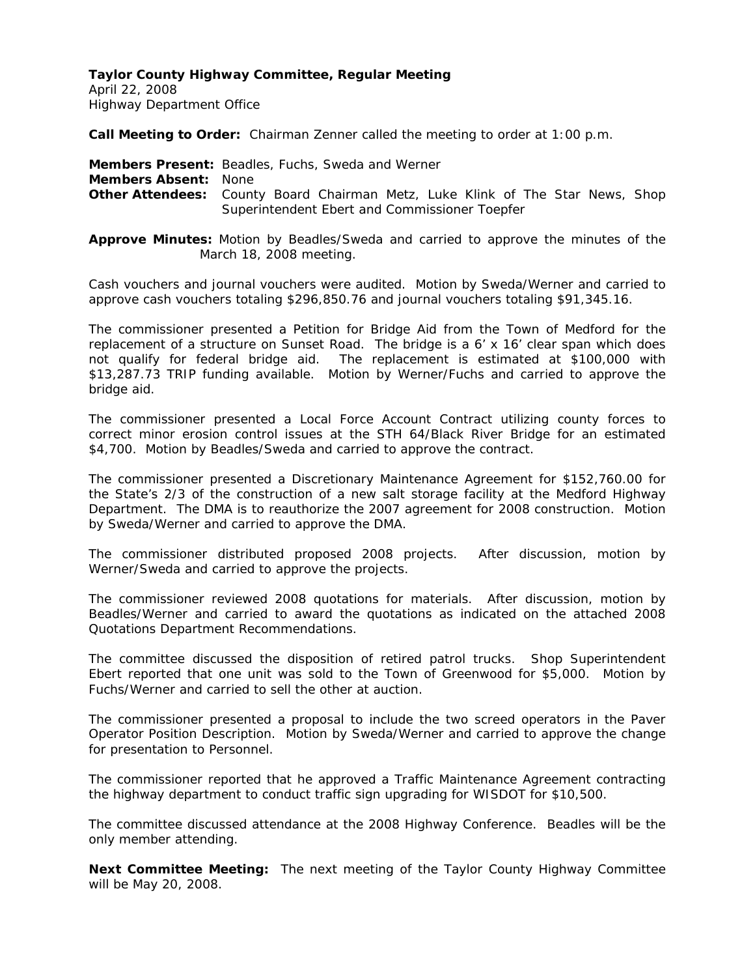April 22, 2008 Highway Department Office

**Call Meeting to Order:** Chairman Zenner called the meeting to order at 1:00 p.m.

**Members Present:** Beadles, Fuchs, Sweda and Werner **Members Absent:** None **Other Attendees:** County Board Chairman Metz, Luke Klink of The Star News, Shop Superintendent Ebert and Commissioner Toepfer

**Approve Minutes:** Motion by Beadles/Sweda and carried to approve the minutes of the March 18, 2008 meeting.

Cash vouchers and journal vouchers were audited. Motion by Sweda/Werner and carried to approve cash vouchers totaling \$296,850.76 and journal vouchers totaling \$91,345.16.

The commissioner presented a Petition for Bridge Aid from the Town of Medford for the replacement of a structure on Sunset Road. The bridge is a 6' x 16' clear span which does not qualify for federal bridge aid. The replacement is estimated at \$100,000 with \$13,287.73 TRIP funding available. Motion by Werner/Fuchs and carried to approve the bridge aid.

The commissioner presented a Local Force Account Contract utilizing county forces to correct minor erosion control issues at the STH 64/Black River Bridge for an estimated \$4,700. Motion by Beadles/Sweda and carried to approve the contract.

The commissioner presented a Discretionary Maintenance Agreement for \$152,760.00 for the State's 2/3 of the construction of a new salt storage facility at the Medford Highway Department. The DMA is to reauthorize the 2007 agreement for 2008 construction. Motion by Sweda/Werner and carried to approve the DMA.

The commissioner distributed proposed 2008 projects. After discussion, motion by Werner/Sweda and carried to approve the projects.

The commissioner reviewed 2008 quotations for materials. After discussion, motion by Beadles/Werner and carried to award the quotations as indicated on the attached 2008 Quotations Department Recommendations.

The committee discussed the disposition of retired patrol trucks. Shop Superintendent Ebert reported that one unit was sold to the Town of Greenwood for \$5,000. Motion by Fuchs/Werner and carried to sell the other at auction.

The commissioner presented a proposal to include the two screed operators in the Paver Operator Position Description. Motion by Sweda/Werner and carried to approve the change for presentation to Personnel.

The commissioner reported that he approved a Traffic Maintenance Agreement contracting the highway department to conduct traffic sign upgrading for WISDOT for \$10,500.

The committee discussed attendance at the 2008 Highway Conference. Beadles will be the only member attending.

**Next Committee Meeting:** The next meeting of the Taylor County Highway Committee will be May 20, 2008.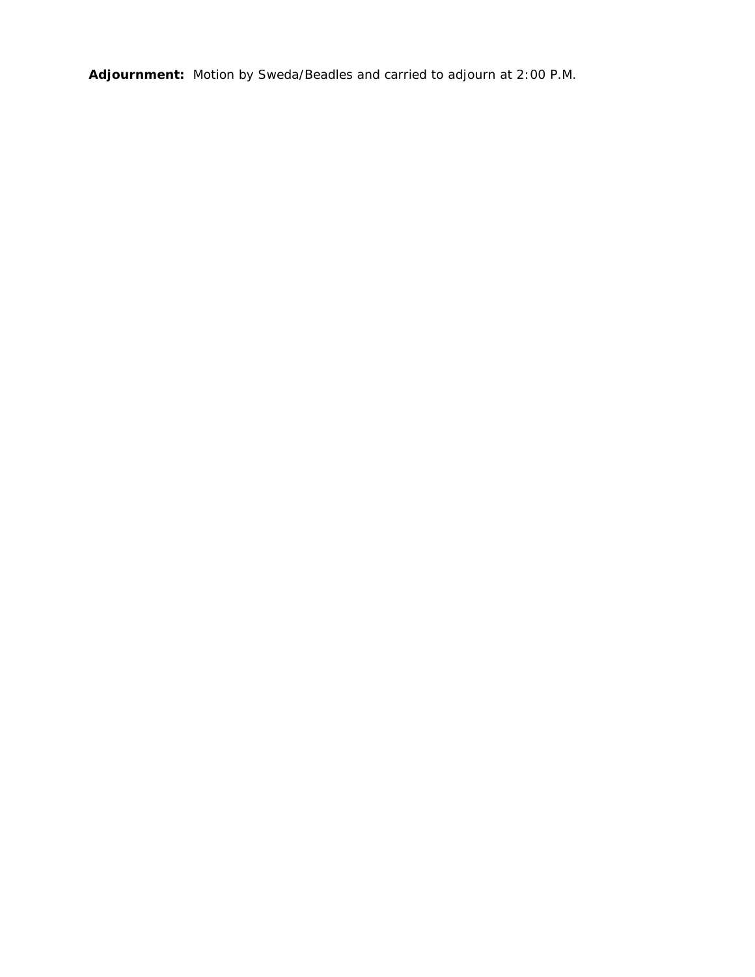**Adjournment:** Motion by Sweda/Beadles and carried to adjourn at 2:00 P.M.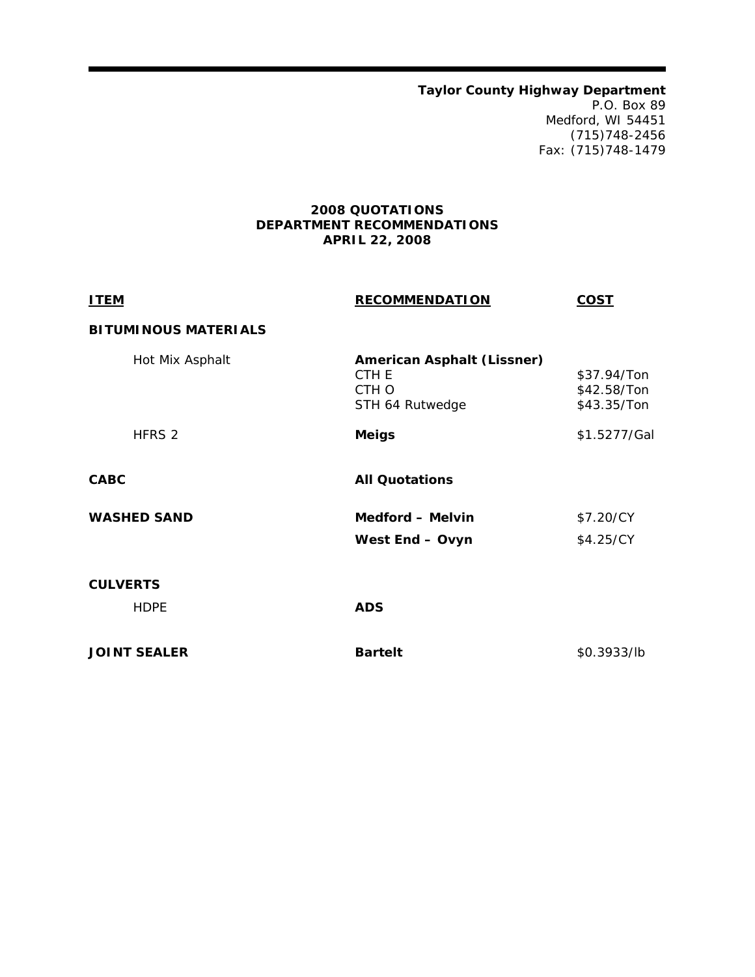**Taylor County Highway Department**  P.O. Box 89 Medford, WI 54451 (715)748-2456 Fax: (715)748-1479

# **2008 QUOTATIONS DEPARTMENT RECOMMENDATIONS APRIL 22, 2008**

| <b>ITEM</b>                 | <b>RECOMMENDATION</b>                                                  | <b>COST</b>                               |
|-----------------------------|------------------------------------------------------------------------|-------------------------------------------|
| <b>BITUMINOUS MATERIALS</b> |                                                                        |                                           |
| Hot Mix Asphalt             | <b>American Asphalt (Lissner)</b><br>CTH E<br>CTH O<br>STH 64 Rutwedge | \$37.94/Ton<br>\$42.58/Ton<br>\$43.35/Ton |
| HFRS 2                      | <b>Meigs</b>                                                           | \$1.5277/Gal                              |
| <b>CABC</b>                 | <b>All Quotations</b>                                                  |                                           |
| <b>WASHED SAND</b>          | <b>Medford - Melvin</b>                                                | \$7.20/CY                                 |
|                             | West End - Ovyn                                                        | \$4.25/CY                                 |
| <b>CULVERTS</b>             |                                                                        |                                           |
| <b>HDPE</b>                 | <b>ADS</b>                                                             |                                           |
| <b>JOINT SEALER</b>         | <b>Bartelt</b>                                                         | \$0.3933/lb                               |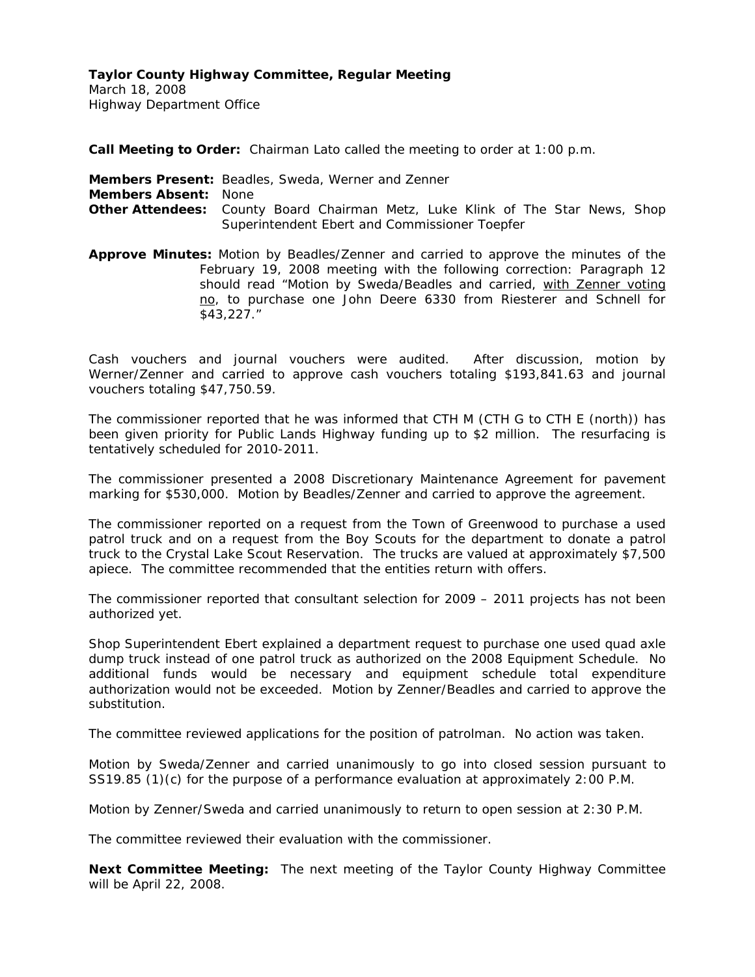March 18, 2008 Highway Department Office

**Call Meeting to Order:** Chairman Lato called the meeting to order at 1:00 p.m.

**Members Present:** Beadles, Sweda, Werner and Zenner **Members Absent:** None **Other Attendees:** County Board Chairman Metz, Luke Klink of The Star News, Shop Superintendent Ebert and Commissioner Toepfer

**Approve Minutes:** Motion by Beadles/Zenner and carried to approve the minutes of the February 19, 2008 meeting with the following correction: Paragraph 12 should read "Motion by Sweda/Beadles and carried, with Zenner voting no, to purchase one John Deere 6330 from Riesterer and Schnell for \$43,227."

Cash vouchers and journal vouchers were audited. After discussion, motion by Werner/Zenner and carried to approve cash vouchers totaling \$193,841.63 and journal vouchers totaling \$47,750.59.

The commissioner reported that he was informed that CTH M (CTH G to CTH E (north)) has been given priority for Public Lands Highway funding up to \$2 million. The resurfacing is tentatively scheduled for 2010-2011.

The commissioner presented a 2008 Discretionary Maintenance Agreement for pavement marking for \$530,000. Motion by Beadles/Zenner and carried to approve the agreement.

The commissioner reported on a request from the Town of Greenwood to purchase a used patrol truck and on a request from the Boy Scouts for the department to donate a patrol truck to the Crystal Lake Scout Reservation. The trucks are valued at approximately \$7,500 apiece. The committee recommended that the entities return with offers.

The commissioner reported that consultant selection for 2009 – 2011 projects has not been authorized yet.

Shop Superintendent Ebert explained a department request to purchase one used quad axle dump truck instead of one patrol truck as authorized on the 2008 Equipment Schedule. No additional funds would be necessary and equipment schedule total expenditure authorization would not be exceeded. Motion by Zenner/Beadles and carried to approve the substitution.

The committee reviewed applications for the position of patrolman. No action was taken.

Motion by Sweda/Zenner and carried unanimously to go into closed session pursuant to SS19.85 (1)(c) for the purpose of a performance evaluation at approximately 2:00 P.M.

Motion by Zenner/Sweda and carried unanimously to return to open session at 2:30 P.M.

The committee reviewed their evaluation with the commissioner.

**Next Committee Meeting:** The next meeting of the Taylor County Highway Committee will be April 22, 2008.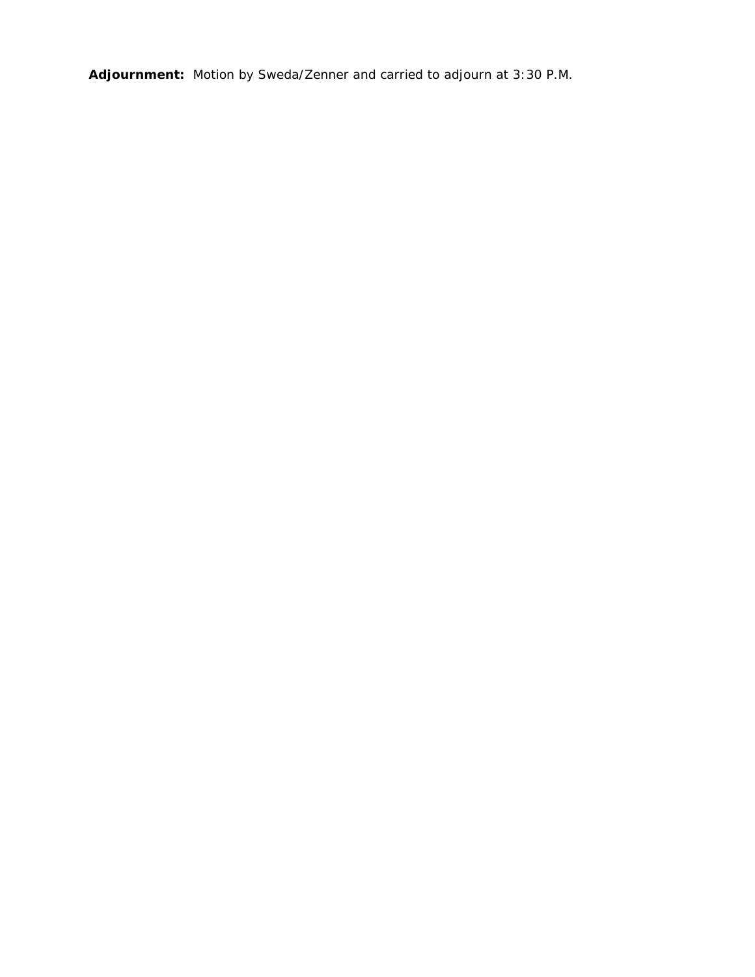**Adjournment:** Motion by Sweda/Zenner and carried to adjourn at 3:30 P.M.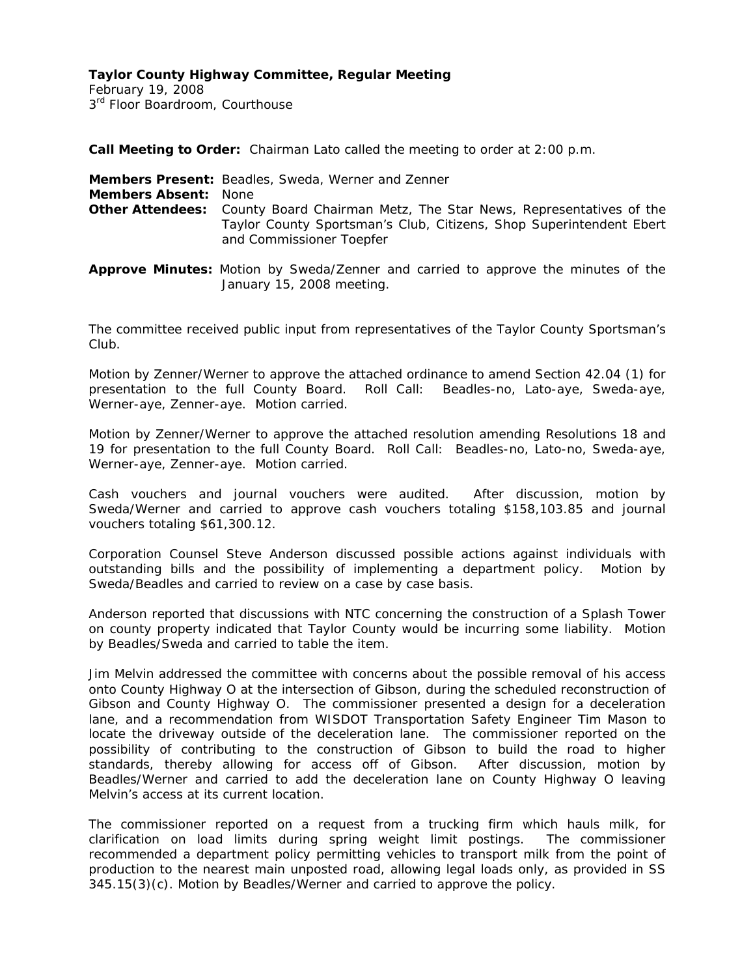February 19, 2008 3<sup>rd</sup> Floor Boardroom, Courthouse

**Call Meeting to Order:** Chairman Lato called the meeting to order at 2:00 p.m.

|                             | <b>Members Present:</b> Beadles, Sweda, Werner and Zenner                                                                                                                                    |
|-----------------------------|----------------------------------------------------------------------------------------------------------------------------------------------------------------------------------------------|
| <b>Members Absent: None</b> |                                                                                                                                                                                              |
|                             | <b>Other Attendees:</b> County Board Chairman Metz, The Star News, Representatives of the<br>Taylor County Sportsman's Club, Citizens, Shop Superintendent Ebert<br>and Commissioner Toepfer |

**Approve Minutes:** Motion by Sweda/Zenner and carried to approve the minutes of the January 15, 2008 meeting.

The committee received public input from representatives of the Taylor County Sportsman's Club.

Motion by Zenner/Werner to approve the attached ordinance to amend Section 42.04 (1) for presentation to the full County Board. Roll Call: Beadles-no, Lato-aye, Sweda-aye, Werner-aye, Zenner-aye. Motion carried.

Motion by Zenner/Werner to approve the attached resolution amending Resolutions 18 and 19 for presentation to the full County Board. Roll Call: Beadles-no, Lato-no, Sweda-aye, Werner-aye, Zenner-aye. Motion carried.

Cash vouchers and journal vouchers were audited. After discussion, motion by Sweda/Werner and carried to approve cash vouchers totaling \$158,103.85 and journal vouchers totaling \$61,300.12.

Corporation Counsel Steve Anderson discussed possible actions against individuals with outstanding bills and the possibility of implementing a department policy. Motion by Sweda/Beadles and carried to review on a case by case basis.

Anderson reported that discussions with NTC concerning the construction of a Splash Tower on county property indicated that Taylor County would be incurring some liability. Motion by Beadles/Sweda and carried to table the item.

Jim Melvin addressed the committee with concerns about the possible removal of his access onto County Highway O at the intersection of Gibson, during the scheduled reconstruction of Gibson and County Highway O. The commissioner presented a design for a deceleration lane, and a recommendation from WISDOT Transportation Safety Engineer Tim Mason to locate the driveway outside of the deceleration lane. The commissioner reported on the possibility of contributing to the construction of Gibson to build the road to higher standards, thereby allowing for access off of Gibson. After discussion, motion by Beadles/Werner and carried to add the deceleration lane on County Highway O leaving Melvin's access at its current location.

The commissioner reported on a request from a trucking firm which hauls milk, for clarification on load limits during spring weight limit postings. The commissioner recommended a department policy permitting vehicles to transport milk from the point of production to the nearest main unposted road, allowing legal loads only, as provided in SS 345.15(3)(c). Motion by Beadles/Werner and carried to approve the policy.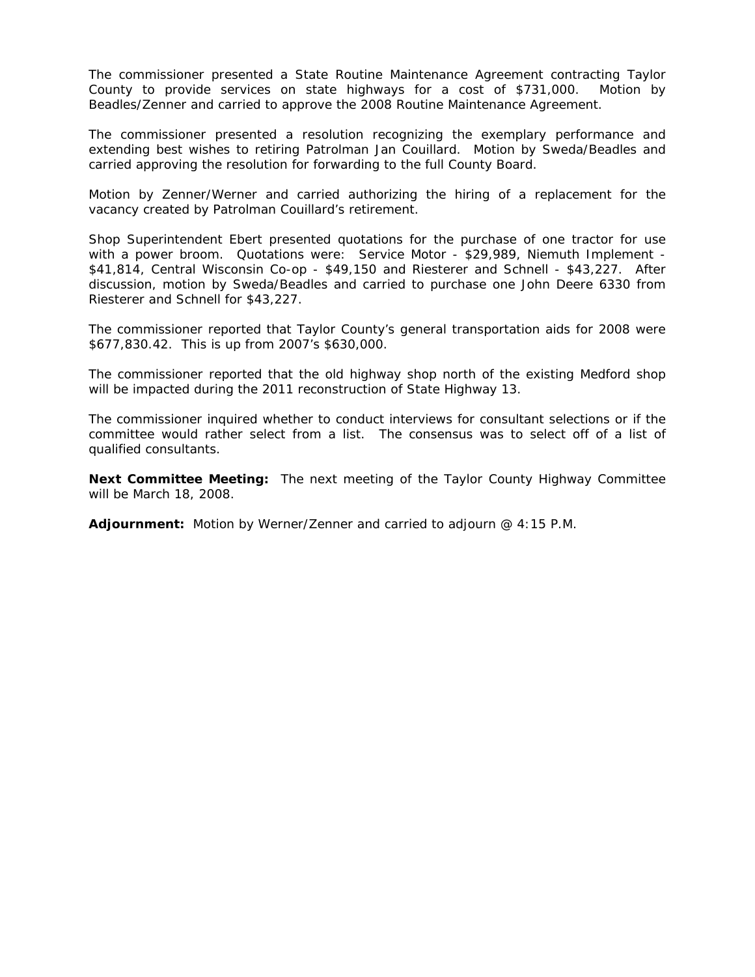The commissioner presented a State Routine Maintenance Agreement contracting Taylor County to provide services on state highways for a cost of \$731,000. Motion by Beadles/Zenner and carried to approve the 2008 Routine Maintenance Agreement.

The commissioner presented a resolution recognizing the exemplary performance and extending best wishes to retiring Patrolman Jan Couillard. Motion by Sweda/Beadles and carried approving the resolution for forwarding to the full County Board.

Motion by Zenner/Werner and carried authorizing the hiring of a replacement for the vacancy created by Patrolman Couillard's retirement.

Shop Superintendent Ebert presented quotations for the purchase of one tractor for use with a power broom. Quotations were: Service Motor - \$29,989, Niemuth Implement - \$41,814, Central Wisconsin Co-op - \$49,150 and Riesterer and Schnell - \$43,227. After discussion, motion by Sweda/Beadles and carried to purchase one John Deere 6330 from Riesterer and Schnell for \$43,227.

The commissioner reported that Taylor County's general transportation aids for 2008 were \$677,830.42. This is up from 2007's \$630,000.

The commissioner reported that the old highway shop north of the existing Medford shop will be impacted during the 2011 reconstruction of State Highway 13.

The commissioner inquired whether to conduct interviews for consultant selections or if the committee would rather select from a list. The consensus was to select off of a list of qualified consultants.

**Next Committee Meeting:** The next meeting of the Taylor County Highway Committee will be March 18, 2008.

**Adjournment:** Motion by Werner/Zenner and carried to adjourn @ 4:15 P.M.